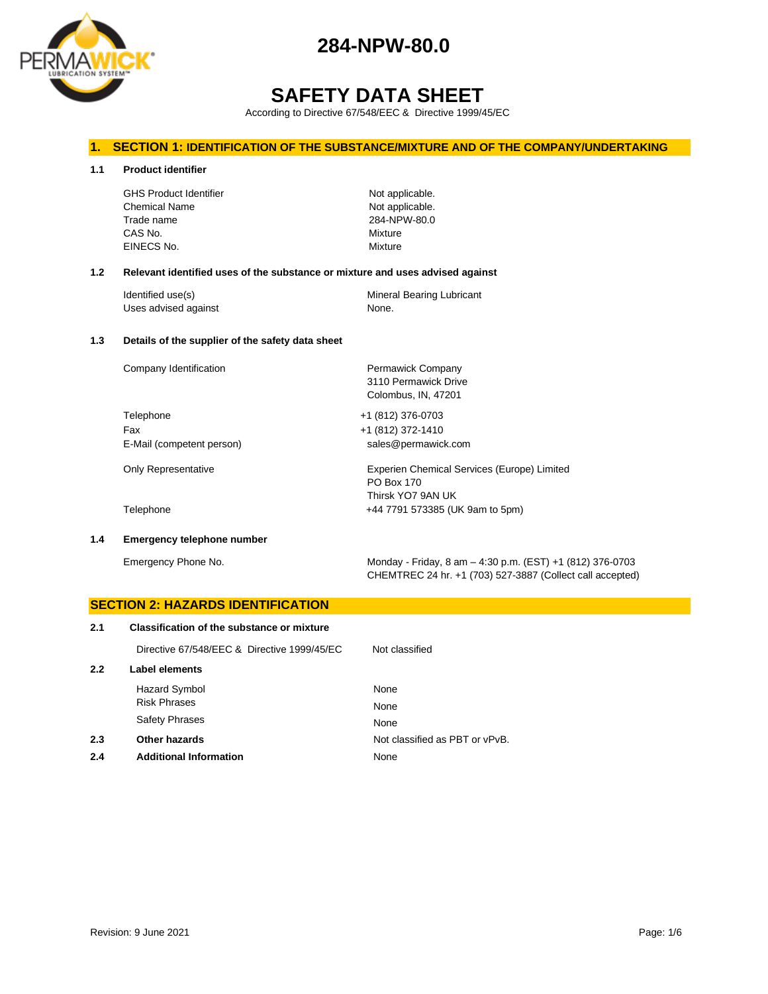

# **284-NPW-80.0**

# **SAFETY DATA SHEET**

According to Directive 67/548/EEC & Directive 1999/45/EC

#### **1. SECTION 1: IDENTIFICATION OF THE SUBSTANCE/MIXTURE AND OF THE COMPANY/UNDERTAKING**

**1.1 Product identifier**

GHS Product Identifier Not applicable. Chemical Name Not applicable. Trade name 284-NPW-80.0 CAS No. Mixture EINECS No. 2008 2009 2009 2009 2009 2009 2012 2022 2030 2040 2052 2053 2062 2073 2082 2093 2009 2013 2014 2015

3110 Permawick Drive Colombus, IN, 47201

PO Box 170 Thirsk YO7 9AN UK

#### **1.2 Relevant identified uses of the substance or mixture and uses advised against**

| Identified use(s)    | Mineral Bearing Lubricant |
|----------------------|---------------------------|
| Uses advised against | None.                     |

#### **1.3 Details of the supplier of the safety data sheet**

Company Identification **Permawick Company** 

Telephone +1 (812) 376-0703 Fax +1 (812) 372-1410 E-Mail (competent person) sales@permawick.com

Only Representative Experien Chemical Services (Europe) Limited

Telephone +44 7791 573385 (UK 9am to 5pm)

#### **1.4 Emergency telephone number**

Emergency Phone No. Monday - Friday, 8 am – 4:30 p.m. (EST) +1 (812) 376-0703 CHEMTREC 24 hr. +1 (703) 527-3887 (Collect call accepted)

## **SECTION 2: HAZARDS IDENTIFICATION 2.1 Classification of the substance or mixture** Directive 67/548/EEC & Directive 1999/45/EC Not classified **2.2 Label elements** Hazard Symbol None Risk Phrases None Safety Phrases None **2.3 Other hazards Details Other hazards Other hazards Not classified as PBT or vPvB. 2.4 Additional Information** None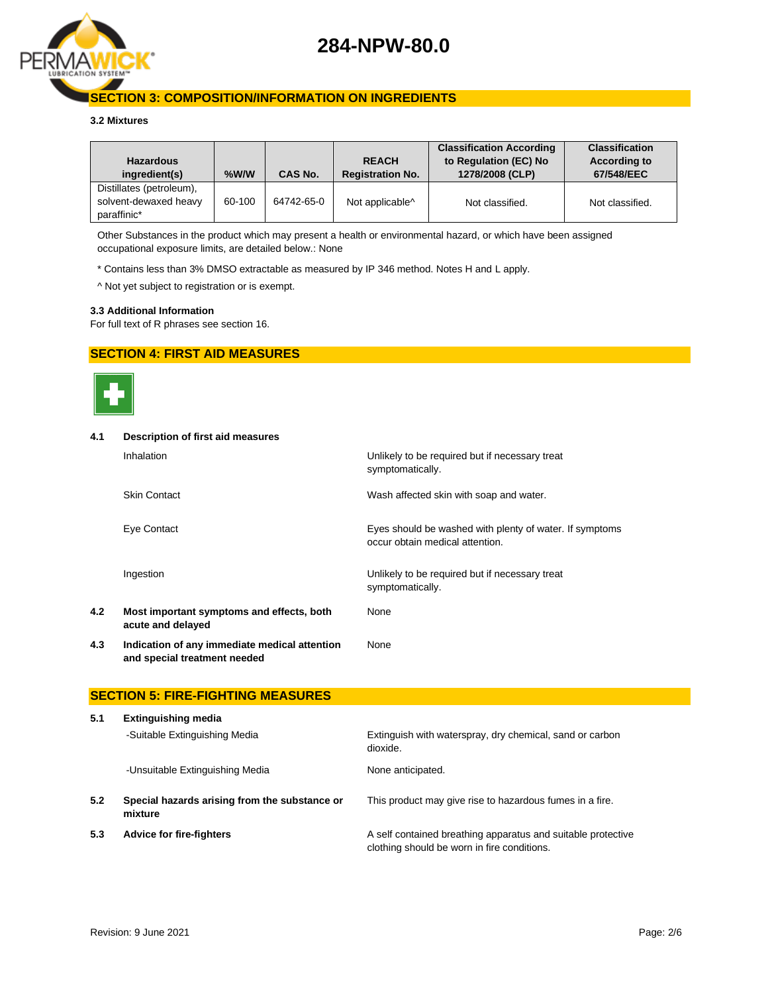

### **SECTION 3: COMPOSITION/INFORMATION ON INGREDIENTS**

#### **3.2 Mixtures**

| <b>Hazardous</b><br>ingredient(s)                                | $%$ W/W | <b>CAS No.</b> | <b>REACH</b><br><b>Registration No.</b> | <b>Classification According</b><br>to Regulation (EC) No<br>1278/2008 (CLP) | <b>Classification</b><br><b>According to</b><br>67/548/EEC |
|------------------------------------------------------------------|---------|----------------|-----------------------------------------|-----------------------------------------------------------------------------|------------------------------------------------------------|
| Distillates (petroleum),<br>solvent-dewaxed heavy<br>paraffinic* | 60-100  | 64742-65-0     | Not applicable <sup>^</sup>             | Not classified.                                                             | Not classified.                                            |

Other Substances in the product which may present a health or environmental hazard, or which have been assigned occupational exposure limits, are detailed below.: None

\* Contains less than 3% DMSO extractable as measured by IP 346 method. Notes H and L apply.

^ Not yet subject to registration or is exempt.

#### **3.3 Additional Information**

For full text of R phrases see section 16.

#### **SECTION 4: FIRST AID MEASURES**



## **4.1 Description of first aid measures**

|     | Inhalation                                                                    | Unlikely to be required but if necessary treat<br>symptomatically.                         |
|-----|-------------------------------------------------------------------------------|--------------------------------------------------------------------------------------------|
|     | <b>Skin Contact</b>                                                           | Wash affected skin with soap and water.                                                    |
|     | Eye Contact                                                                   | Eyes should be washed with plenty of water. If symptoms<br>occur obtain medical attention. |
|     | Ingestion                                                                     | Unlikely to be required but if necessary treat<br>symptomatically.                         |
| 4.2 | Most important symptoms and effects, both<br>acute and delayed                | None                                                                                       |
| 4.3 | Indication of any immediate medical attention<br>and special treatment needed | None                                                                                       |

#### **SECTION 5: FIRE-FIGHTING MEASURES**

| 5.1 | <b>Extinguishing media</b>                               |                                                                                                             |
|-----|----------------------------------------------------------|-------------------------------------------------------------------------------------------------------------|
|     | -Suitable Extinguishing Media                            | Extinguish with waterspray, dry chemical, sand or carbon<br>dioxide.                                        |
|     | -Unsuitable Extinguishing Media                          | None anticipated.                                                                                           |
| 5.2 | Special hazards arising from the substance or<br>mixture | This product may give rise to hazardous fumes in a fire.                                                    |
| 5.3 | <b>Advice for fire-fighters</b>                          | A self contained breathing apparatus and suitable protective<br>clothing should be worn in fire conditions. |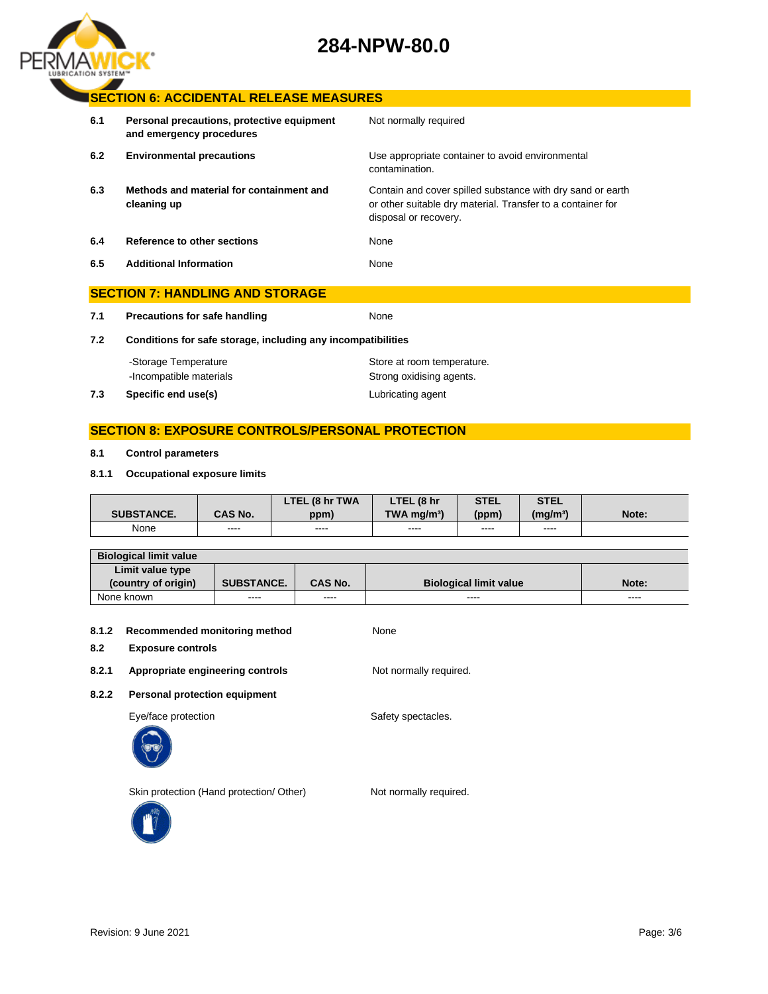# **284-NPW-80.0**



### **SECTION 6: ACCIDENTAL RELEASE MEASURES**

| 6.1 | Personal precautions, protective equipment<br>and emergency procedures | Not normally required                                                                                                                              |
|-----|------------------------------------------------------------------------|----------------------------------------------------------------------------------------------------------------------------------------------------|
| 6.2 | <b>Environmental precautions</b>                                       | Use appropriate container to avoid environmental<br>contamination.                                                                                 |
| 6.3 | Methods and material for containment and<br>cleaning up                | Contain and cover spilled substance with dry sand or earth<br>or other suitable dry material. Transfer to a container for<br>disposal or recovery. |
| 6.4 | Reference to other sections                                            | None                                                                                                                                               |
| 6.5 | <b>Additional Information</b>                                          | None                                                                                                                                               |
|     | <b>SECTION 7: HANDLING AND STORAGE</b>                                 |                                                                                                                                                    |

**7.1 Precautions for safe handling None** 

**7.2 Conditions for safe storage, including any incompatibilities**

| -Storage Temperature |                         | Store at room temperature. |
|----------------------|-------------------------|----------------------------|
|                      | -Incompatible materials | Strong oxidising agents.   |
| 7.3                  | Specific end use(s)     | Lubricating agent          |

## **SECTION 8: EXPOSURE CONTROLS/PERSONAL PROTECTION**

#### **8.1 Control parameters**

#### **8.1.1 Occupational exposure limits**

|                   |                | LTEL (8 hr TWA | LTEL (8 hr                | STEL  | <b>STEL</b>          |       |
|-------------------|----------------|----------------|---------------------------|-------|----------------------|-------|
| <b>SUBSTANCE.</b> | <b>CAS No.</b> | ppm)           | $TWA$ ma/m <sup>3</sup> ) | (ppm) | (mg/m <sup>3</sup> ) | Note: |
| None              | ----           | ----           | $\frac{1}{2}$             | ----  | ----                 |       |

| <b>Biological limit value</b> |                   |                |                               |       |
|-------------------------------|-------------------|----------------|-------------------------------|-------|
| Limit value type              |                   |                |                               |       |
| (country of origin)           | <b>SUBSTANCE.</b> | <b>CAS No.</b> | <b>Biological limit value</b> | Note: |
| None known                    | ----              | ----           | $\cdots$                      | ----  |

#### **8.1.2 Recommended monitoring method** None

#### **8.2 Exposure controls**

8.2.1 **Appropriate engineering controls** Not normally required.

**8.2.2 Personal protection equipment**

Eye/face protection extensive spectacles.



Skin protection (Hand protection/ Other) Not normally required.

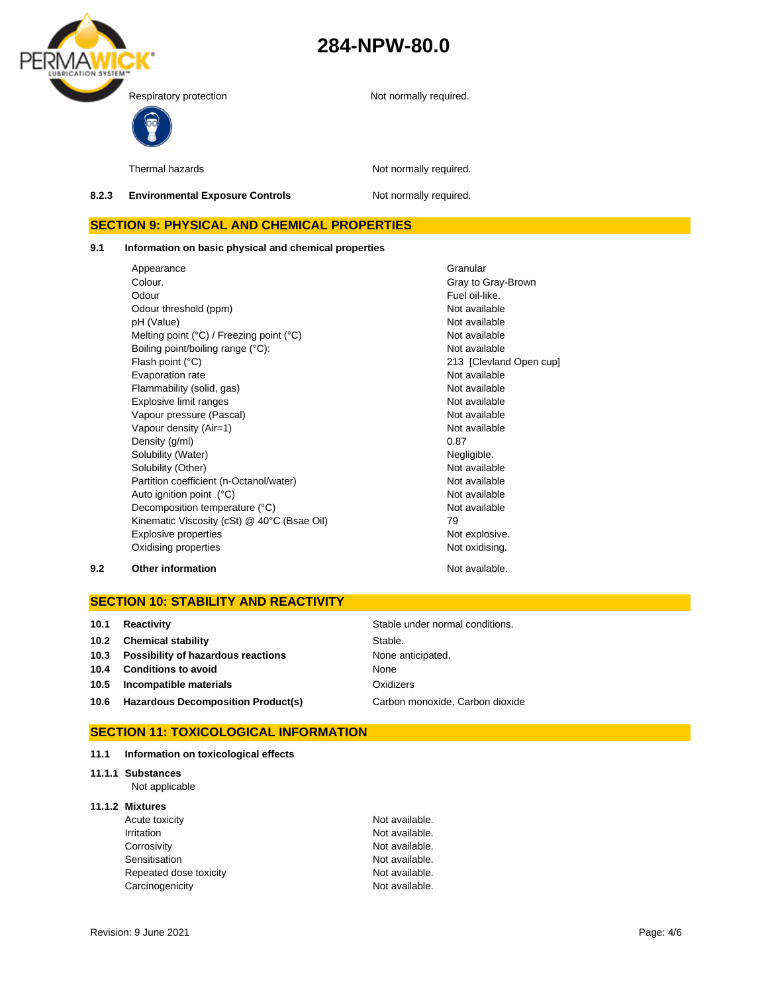



Thermal hazards **Not required.** Not normally required.

**8.2.3 Environmental Exposure Controls Not normally required.** 

## **SECTION 9: PHYSICAL AND CHEMICAL PROPERTIES**

**9.1 Information on basic physical and chemical properties**

Appearance **Granular** Colour. Colour. Odour **Fuel oil-like.** Odour threshold (ppm) Not available pH (Value) Not available Melting point (°C) / Freezing point (°C) Not available Boiling point/boiling range (°C): Not available Flash point (°C) 213 [Clevland Open cup] Evaporation rate Not available Flammability (solid, gas) Not available Explosive limit ranges **Not available** Not available Vapour pressure (Pascal) Not available Not available Vapour density (Air=1) Not available Density (g/ml) 0.87 Solubility (Water) Negligible. Solubility (Other) Not available Partition coefficient (n-Octanol/water) Not available Auto ignition point (°C) and the contract of the Not available Not available Decomposition temperature (°C) Not available Kinematic Viscosity (cSt) @ 40°C (Bsae Oil) 79 Explosive properties Not explosive. Oxidising properties Not oxidising.

#### **9.2 Other information Not available. Other information**

### **SECTION 10: STABILITY AND REACTIVITY**

| 10.1 | Reactivity                                | Stable under normal conditions. |
|------|-------------------------------------------|---------------------------------|
| 10.2 | <b>Chemical stability</b>                 | Stable.                         |
|      | 10.3 Possibility of hazardous reactions   | None anticipated.               |
| 10.4 | <b>Conditions to avoid</b>                | None                            |
| 10.5 | Incompatible materials                    | Oxidizers                       |
| 10.6 | <b>Hazardous Decomposition Product(s)</b> | Carbon monoxide, Carbon dioxide |

## **SECTION 11: TOXICOLOGICAL INFORMATION**

- **11.1 Information on toxicological effects**
- **11.1.1 Substances**

Not applicable

#### **11.1.2 Mixtures**

| Acute toxicity         | Not available. |
|------------------------|----------------|
| Irritation             | Not available. |
| Corrosivity            | Not available. |
| Sensitisation          | Not available. |
| Repeated dose toxicity | Not available. |
| Carcinogenicity        | Not available. |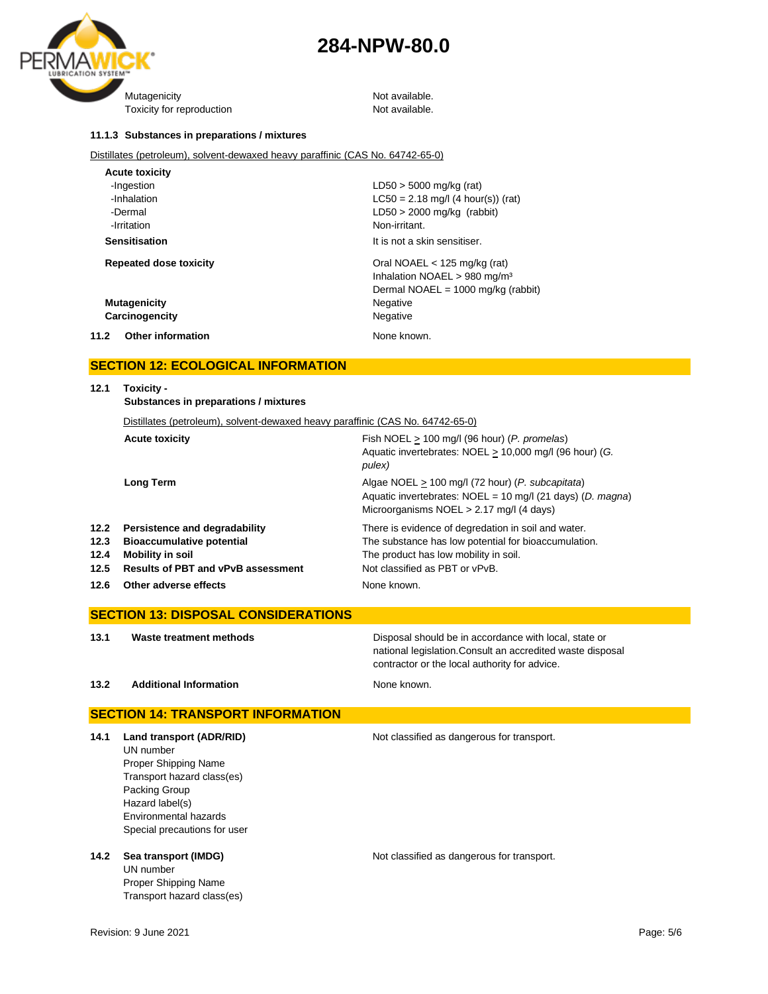



#### **11.1.3 Substances in preparations / mixtures**

Distillates (petroleum), solvent-dewaxed heavy paraffinic (CAS No. 64742-65-0)

| <b>Acute toxicity</b>            |                                              |
|----------------------------------|----------------------------------------------|
| -Ingestion                       | $LD50 > 5000$ mg/kg (rat)                    |
| -Inhalation                      | $LC50 = 2.18$ mg/l (4 hour(s)) (rat)         |
| -Dermal                          | $LD50 > 2000$ mg/kg (rabbit)                 |
| -Irritation                      | Non-irritant.                                |
| <b>Sensitisation</b>             | It is not a skin sensitiser.                 |
| <b>Repeated dose toxicity</b>    | Oral NOAEL $<$ 125 mg/kg (rat)               |
|                                  | Inhalation NOAEL > 980 mg/m <sup>3</sup>     |
|                                  | Dermal NOAEL = $1000 \text{ mg/kg}$ (rabbit) |
| <b>Mutagenicity</b>              | Negative                                     |
| Carcinogencity                   | Negative                                     |
| 11.2<br><b>Other information</b> | None known.                                  |

### **SECTION 12: ECOLOGICAL INFORMATION**

| 12.1 | Toxicity -<br>Substances in preparations / mixtures                            |                                                                                                                                                                |
|------|--------------------------------------------------------------------------------|----------------------------------------------------------------------------------------------------------------------------------------------------------------|
|      | Distillates (petroleum), solvent-dewaxed heavy paraffinic (CAS No. 64742-65-0) |                                                                                                                                                                |
|      | <b>Acute toxicity</b>                                                          | Fish NOEL $> 100$ mg/l (96 hour) (P. promelas)<br>Aquatic invertebrates: NOEL > 10,000 mg/l (96 hour) (G.<br>pulex)                                            |
|      | <b>Long Term</b>                                                               | Algae NOEL > 100 mg/l (72 hour) (P. subcapitata)<br>Aquatic invertebrates: $NOEL = 10$ mg/l (21 days) (D. magna)<br>Microorganisms $NOEL > 2.17$ mg/l (4 days) |
| 12.2 | Persistence and degradability                                                  | There is evidence of degredation in soil and water.                                                                                                            |
| 12.3 | <b>Bioaccumulative potential</b>                                               | The substance has low potential for bioaccumulation.                                                                                                           |
| 12.4 | <b>Mobility in soil</b>                                                        | The product has low mobility in soil.                                                                                                                          |
| 12.5 | <b>Results of PBT and vPvB assessment</b>                                      | Not classified as PBT or vPvB.                                                                                                                                 |
| 12.6 | Other adverse effects                                                          | None known.                                                                                                                                                    |

## **SECTION 13: DISPOSAL CONSIDERATIONS 13.1 Waste treatment methods Disposal should be in accordance with local, state or** national legislation.Consult an accredited waste disposal contractor or the local authority for advice. **13.2 Additional Information None known.**

## **SECTION 14: TRANSPORT INFORMATION 14.1 Land transport (ADR/RID)** Not classified as dangerous for transport. UN number Proper Shipping Name Transport hazard class(es) Packing Group Hazard label(s) Environmental hazards Special precautions for user **14.2 Sea transport (IMDG)** Not classified as dangerous for transport.

UN number Proper Shipping Name Transport hazard class(es)

Revision: 9 June 2021 Page: 5/6